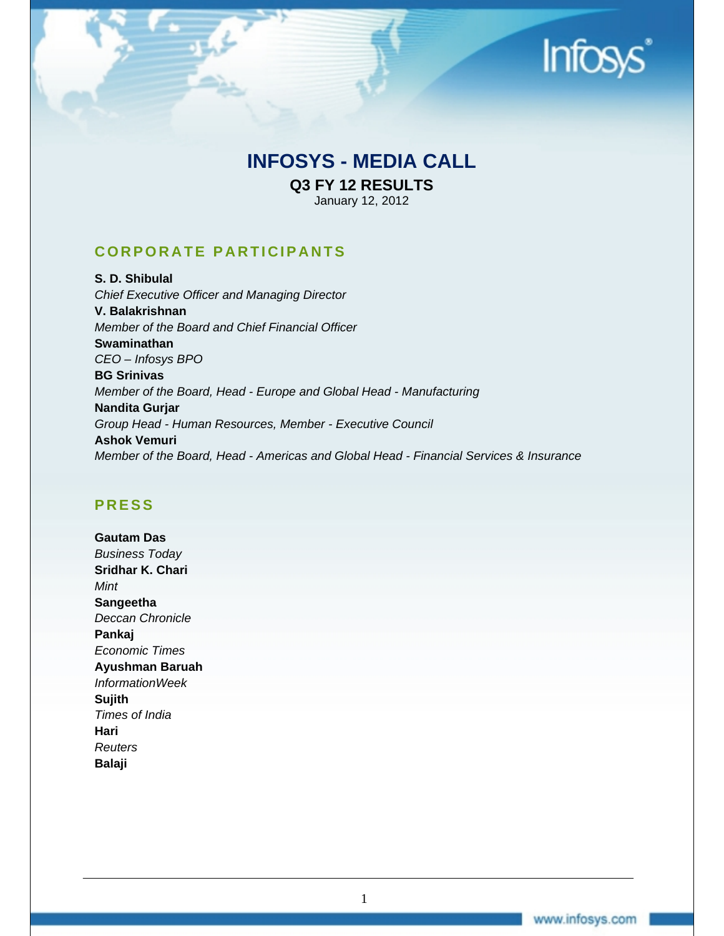

# **INFOSYS - MEDIA CALL**

**Q3 FY 12 RESULTS**  January 12, 2012

**CORPORATE PARTICIPANTS** 

**S. D. Shibulal**  *Chief Executive Officer and Managing Director*  **V. Balakrishnan**  *Member of the Board and Chief Financial Officer*  **Swaminathan**  *CEO – Infosys BPO* **BG Srinivas**  *Member of the Board, Head - Europe and Global Head - Manufacturing*  **Nandita Gurjar**  *Group Head - Human Resources, Member - Executive Council*  **Ashok Vemuri**  *Member of the Board, Head - Americas and Global Head - Financial Services & Insurance* 

# **PRESS**

**Gautam Das**  *Business Today*  **Sridhar K. Chari**  *Mint*  **Sangeetha**  *Deccan Chronicle*  **Pankaj**  *Economic Times*  **Ayushman Baruah**  *InformationWeek*  **Sujith**  *Times of India*  **Hari**  *Reuters*  **Balaji**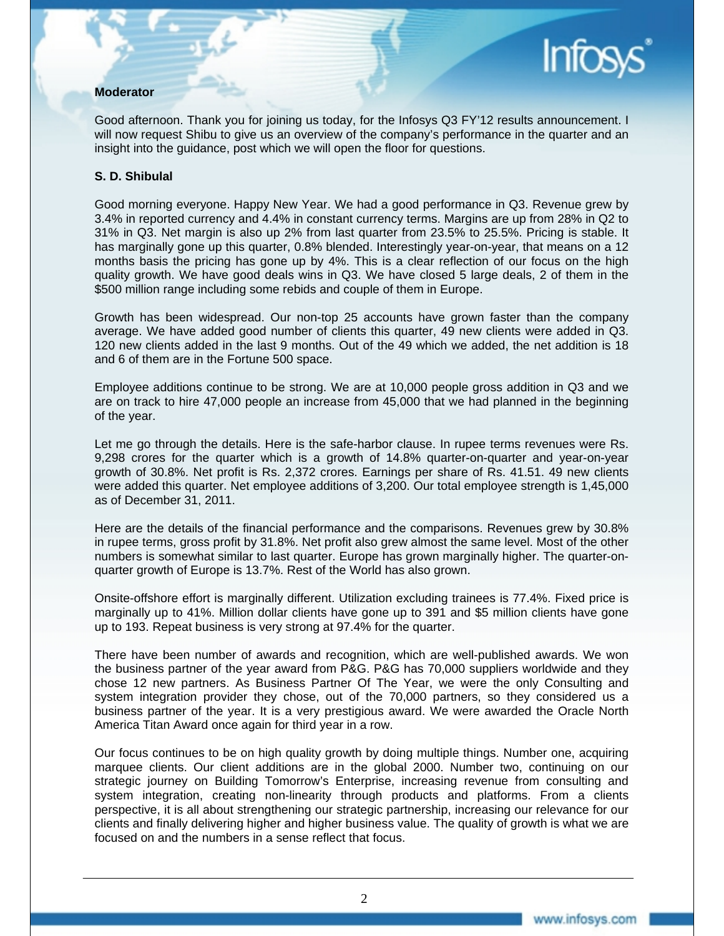#### **Moderator**

Good afternoon. Thank you for joining us today, for the Infosys Q3 FY'12 results announcement. I will now request Shibu to give us an overview of the company's performance in the quarter and an insight into the guidance, post which we will open the floor for questions.

#### **S. D. Shibulal**

Good morning everyone. Happy New Year. We had a good performance in Q3. Revenue grew by 3.4% in reported currency and 4.4% in constant currency terms. Margins are up from 28% in Q2 to 31% in Q3. Net margin is also up 2% from last quarter from 23.5% to 25.5%. Pricing is stable. It has marginally gone up this quarter, 0.8% blended. Interestingly year-on-year, that means on a 12 months basis the pricing has gone up by 4%. This is a clear reflection of our focus on the high quality growth. We have good deals wins in Q3. We have closed 5 large deals, 2 of them in the \$500 million range including some rebids and couple of them in Europe.

Growth has been widespread. Our non-top 25 accounts have grown faster than the company average. We have added good number of clients this quarter, 49 new clients were added in Q3. 120 new clients added in the last 9 months. Out of the 49 which we added, the net addition is 18 and 6 of them are in the Fortune 500 space.

Employee additions continue to be strong. We are at 10,000 people gross addition in Q3 and we are on track to hire 47,000 people an increase from 45,000 that we had planned in the beginning of the year.

Let me go through the details. Here is the safe-harbor clause. In rupee terms revenues were Rs. 9,298 crores for the quarter which is a growth of 14.8% quarter-on-quarter and year-on-year growth of 30.8%. Net profit is Rs. 2,372 crores. Earnings per share of Rs. 41.51. 49 new clients were added this quarter. Net employee additions of 3,200. Our total employee strength is 1,45,000 as of December 31, 2011.

Here are the details of the financial performance and the comparisons. Revenues grew by 30.8% in rupee terms, gross profit by 31.8%. Net profit also grew almost the same level. Most of the other numbers is somewhat similar to last quarter. Europe has grown marginally higher. The quarter-onquarter growth of Europe is 13.7%. Rest of the World has also grown.

Onsite-offshore effort is marginally different. Utilization excluding trainees is 77.4%. Fixed price is marginally up to 41%. Million dollar clients have gone up to 391 and \$5 million clients have gone up to 193. Repeat business is very strong at 97.4% for the quarter.

There have been number of awards and recognition, which are well-published awards. We won the business partner of the year award from P&G. P&G has 70,000 suppliers worldwide and they chose 12 new partners. As Business Partner Of The Year, we were the only Consulting and system integration provider they chose, out of the 70,000 partners, so they considered us a business partner of the year. It is a very prestigious award. We were awarded the Oracle North America Titan Award once again for third year in a row.

Our focus continues to be on high quality growth by doing multiple things. Number one, acquiring marquee clients. Our client additions are in the global 2000. Number two, continuing on our strategic journey on Building Tomorrow's Enterprise, increasing revenue from consulting and system integration, creating non-linearity through products and platforms. From a clients perspective, it is all about strengthening our strategic partnership, increasing our relevance for our clients and finally delivering higher and higher business value. The quality of growth is what we are focused on and the numbers in a sense reflect that focus.

**Infos**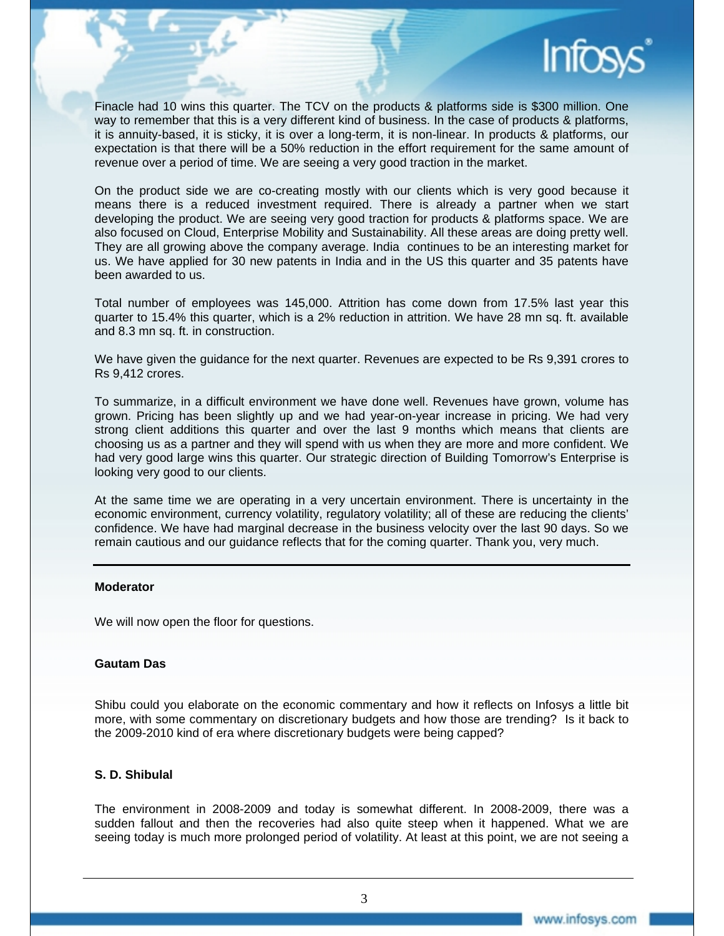

Finacle had 10 wins this quarter. The TCV on the products & platforms side is \$300 million. One way to remember that this is a very different kind of business. In the case of products & platforms, it is annuity-based, it is sticky, it is over a long-term, it is non-linear. In products & platforms, our expectation is that there will be a 50% reduction in the effort requirement for the same amount of revenue over a period of time. We are seeing a very good traction in the market.

On the product side we are co-creating mostly with our clients which is very good because it means there is a reduced investment required. There is already a partner when we start developing the product. We are seeing very good traction for products & platforms space. We are also focused on Cloud, Enterprise Mobility and Sustainability. All these areas are doing pretty well. They are all growing above the company average. India continues to be an interesting market for us. We have applied for 30 new patents in India and in the US this quarter and 35 patents have been awarded to us.

Total number of employees was 145,000. Attrition has come down from 17.5% last year this quarter to 15.4% this quarter, which is a 2% reduction in attrition. We have 28 mn sq. ft. available and 8.3 mn sq. ft. in construction.

We have given the guidance for the next quarter. Revenues are expected to be Rs 9,391 crores to Rs 9,412 crores.

To summarize, in a difficult environment we have done well. Revenues have grown, volume has grown. Pricing has been slightly up and we had year-on-year increase in pricing. We had very strong client additions this quarter and over the last 9 months which means that clients are choosing us as a partner and they will spend with us when they are more and more confident. We had very good large wins this quarter. Our strategic direction of Building Tomorrow's Enterprise is looking very good to our clients.

At the same time we are operating in a very uncertain environment. There is uncertainty in the economic environment, currency volatility, regulatory volatility; all of these are reducing the clients' confidence. We have had marginal decrease in the business velocity over the last 90 days. So we remain cautious and our guidance reflects that for the coming quarter. Thank you, very much.

#### **Moderator**

We will now open the floor for questions.

#### **Gautam Das**

Shibu could you elaborate on the economic commentary and how it reflects on Infosys a little bit more, with some commentary on discretionary budgets and how those are trending? Is it back to the 2009-2010 kind of era where discretionary budgets were being capped?

#### **S. D. Shibulal**

The environment in 2008-2009 and today is somewhat different. In 2008-2009, there was a sudden fallout and then the recoveries had also quite steep when it happened. What we are seeing today is much more prolonged period of volatility. At least at this point, we are not seeing a

3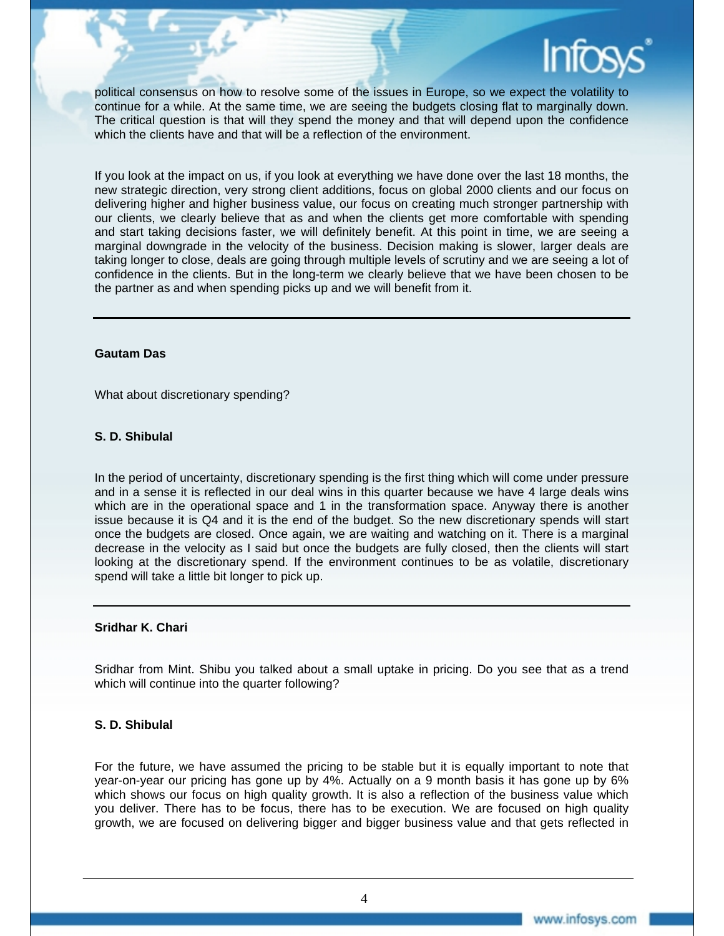

political consensus on how to resolve some of the issues in Europe, so we expect the volatility to continue for a while. At the same time, we are seeing the budgets closing flat to marginally down. The critical question is that will they spend the money and that will depend upon the confidence which the clients have and that will be a reflection of the environment.

If you look at the impact on us, if you look at everything we have done over the last 18 months, the new strategic direction, very strong client additions, focus on global 2000 clients and our focus on delivering higher and higher business value, our focus on creating much stronger partnership with our clients, we clearly believe that as and when the clients get more comfortable with spending and start taking decisions faster, we will definitely benefit. At this point in time, we are seeing a marginal downgrade in the velocity of the business. Decision making is slower, larger deals are taking longer to close, deals are going through multiple levels of scrutiny and we are seeing a lot of confidence in the clients. But in the long-term we clearly believe that we have been chosen to be the partner as and when spending picks up and we will benefit from it.

#### **Gautam Das**

What about discretionary spending?

#### **S. D. Shibulal**

In the period of uncertainty, discretionary spending is the first thing which will come under pressure and in a sense it is reflected in our deal wins in this quarter because we have 4 large deals wins which are in the operational space and 1 in the transformation space. Anyway there is another issue because it is Q4 and it is the end of the budget. So the new discretionary spends will start once the budgets are closed. Once again, we are waiting and watching on it. There is a marginal decrease in the velocity as I said but once the budgets are fully closed, then the clients will start looking at the discretionary spend. If the environment continues to be as volatile, discretionary spend will take a little bit longer to pick up.

#### **Sridhar K. Chari**

Sridhar from Mint. Shibu you talked about a small uptake in pricing. Do you see that as a trend which will continue into the quarter following?

#### **S. D. Shibulal**

For the future, we have assumed the pricing to be stable but it is equally important to note that year-on-year our pricing has gone up by 4%. Actually on a 9 month basis it has gone up by 6% which shows our focus on high quality growth. It is also a reflection of the business value which you deliver. There has to be focus, there has to be execution. We are focused on high quality growth, we are focused on delivering bigger and bigger business value and that gets reflected in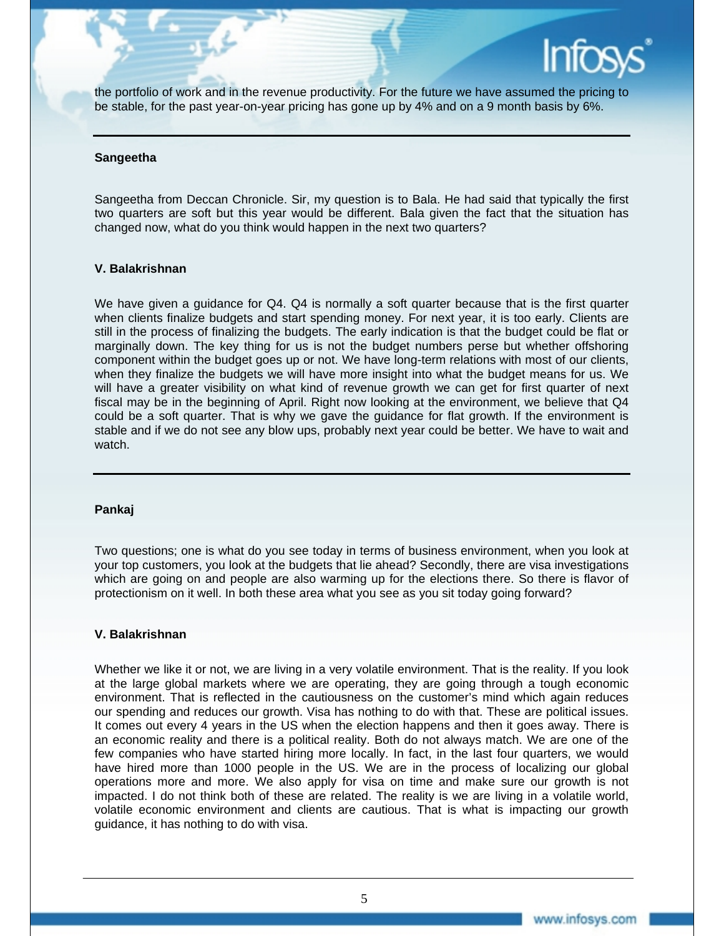

the portfolio of work and in the revenue productivity. For the future we have assumed the pricing to be stable, for the past year-on-year pricing has gone up by 4% and on a 9 month basis by 6%.

#### **Sangeetha**

Sangeetha from Deccan Chronicle. Sir, my question is to Bala. He had said that typically the first two quarters are soft but this year would be different. Bala given the fact that the situation has changed now, what do you think would happen in the next two quarters?

#### **V. Balakrishnan**

We have given a guidance for Q4. Q4 is normally a soft quarter because that is the first quarter when clients finalize budgets and start spending money. For next year, it is too early. Clients are still in the process of finalizing the budgets. The early indication is that the budget could be flat or marginally down. The key thing for us is not the budget numbers perse but whether offshoring component within the budget goes up or not. We have long-term relations with most of our clients, when they finalize the budgets we will have more insight into what the budget means for us. We will have a greater visibility on what kind of revenue growth we can get for first quarter of next fiscal may be in the beginning of April. Right now looking at the environment, we believe that Q4 could be a soft quarter. That is why we gave the guidance for flat growth. If the environment is stable and if we do not see any blow ups, probably next year could be better. We have to wait and watch.

#### **Pankaj**

Two questions; one is what do you see today in terms of business environment, when you look at your top customers, you look at the budgets that lie ahead? Secondly, there are visa investigations which are going on and people are also warming up for the elections there. So there is flavor of protectionism on it well. In both these area what you see as you sit today going forward?

#### **V. Balakrishnan**

Whether we like it or not, we are living in a very volatile environment. That is the reality. If you look at the large global markets where we are operating, they are going through a tough economic environment. That is reflected in the cautiousness on the customer's mind which again reduces our spending and reduces our growth. Visa has nothing to do with that. These are political issues. It comes out every 4 years in the US when the election happens and then it goes away. There is an economic reality and there is a political reality. Both do not always match. We are one of the few companies who have started hiring more locally. In fact, in the last four quarters, we would have hired more than 1000 people in the US. We are in the process of localizing our global operations more and more. We also apply for visa on time and make sure our growth is not impacted. I do not think both of these are related. The reality is we are living in a volatile world, volatile economic environment and clients are cautious. That is what is impacting our growth guidance, it has nothing to do with visa.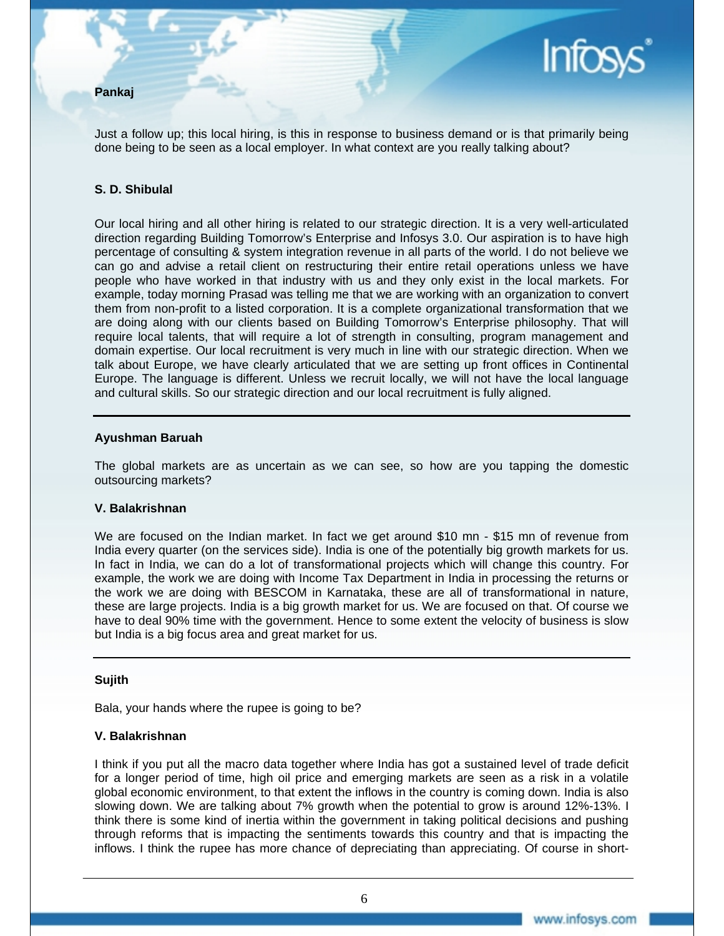## **Pankaj**

Just a follow up; this local hiring, is this in response to business demand or is that primarily being done being to be seen as a local employer. In what context are you really talking about?

#### **S. D. Shibulal**

Our local hiring and all other hiring is related to our strategic direction. It is a very well-articulated direction regarding Building Tomorrow's Enterprise and Infosys 3.0. Our aspiration is to have high percentage of consulting & system integration revenue in all parts of the world. I do not believe we can go and advise a retail client on restructuring their entire retail operations unless we have people who have worked in that industry with us and they only exist in the local markets. For example, today morning Prasad was telling me that we are working with an organization to convert them from non-profit to a listed corporation. It is a complete organizational transformation that we are doing along with our clients based on Building Tomorrow's Enterprise philosophy. That will require local talents, that will require a lot of strength in consulting, program management and domain expertise. Our local recruitment is very much in line with our strategic direction. When we talk about Europe, we have clearly articulated that we are setting up front offices in Continental Europe. The language is different. Unless we recruit locally, we will not have the local language and cultural skills. So our strategic direction and our local recruitment is fully aligned.

#### **Ayushman Baruah**

The global markets are as uncertain as we can see, so how are you tapping the domestic outsourcing markets?

#### **V. Balakrishnan**

We are focused on the Indian market. In fact we get around \$10 mn - \$15 mn of revenue from India every quarter (on the services side). India is one of the potentially big growth markets for us. In fact in India, we can do a lot of transformational projects which will change this country. For example, the work we are doing with Income Tax Department in India in processing the returns or the work we are doing with BESCOM in Karnataka, these are all of transformational in nature, these are large projects. India is a big growth market for us. We are focused on that. Of course we have to deal 90% time with the government. Hence to some extent the velocity of business is slow but India is a big focus area and great market for us.

#### **Sujith**

Bala, your hands where the rupee is going to be?

#### **V. Balakrishnan**

I think if you put all the macro data together where India has got a sustained level of trade deficit for a longer period of time, high oil price and emerging markets are seen as a risk in a volatile global economic environment, to that extent the inflows in the country is coming down. India is also slowing down. We are talking about 7% growth when the potential to grow is around 12%-13%. I think there is some kind of inertia within the government in taking political decisions and pushing through reforms that is impacting the sentiments towards this country and that is impacting the inflows. I think the rupee has more chance of depreciating than appreciating. Of course in short-

**Infos**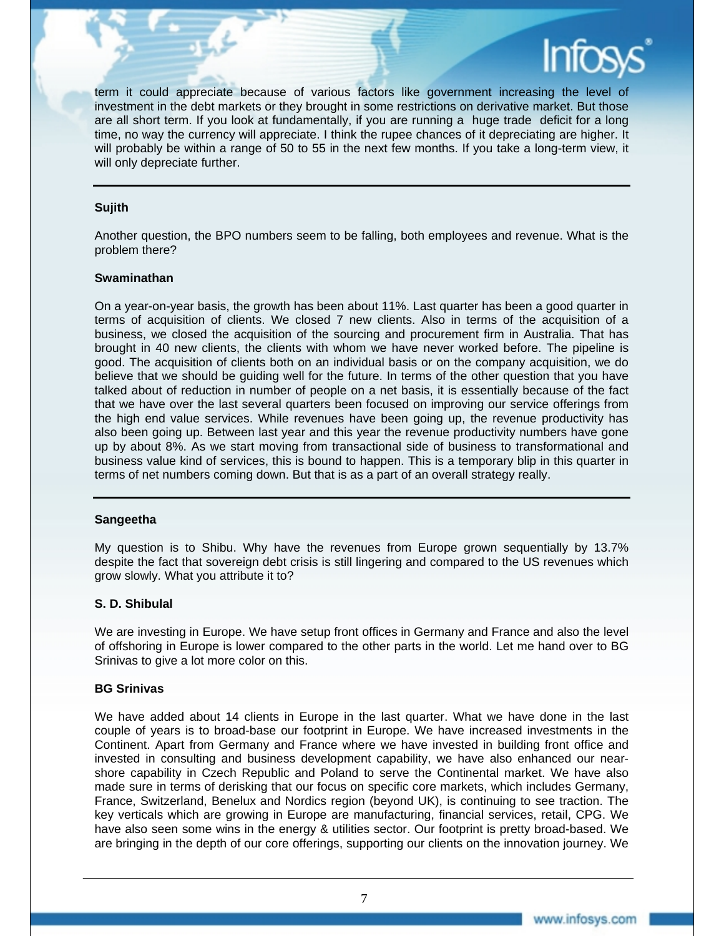

term it could appreciate because of various factors like government increasing the level of investment in the debt markets or they brought in some restrictions on derivative market. But those are all short term. If you look at fundamentally, if you are running a huge trade deficit for a long time, no way the currency will appreciate. I think the rupee chances of it depreciating are higher. It will probably be within a range of 50 to 55 in the next few months. If you take a long-term view, it will only depreciate further.

#### **Sujith**

Another question, the BPO numbers seem to be falling, both employees and revenue. What is the problem there?

#### **Swaminathan**

On a year-on-year basis, the growth has been about 11%. Last quarter has been a good quarter in terms of acquisition of clients. We closed 7 new clients. Also in terms of the acquisition of a business, we closed the acquisition of the sourcing and procurement firm in Australia. That has brought in 40 new clients, the clients with whom we have never worked before. The pipeline is good. The acquisition of clients both on an individual basis or on the company acquisition, we do believe that we should be guiding well for the future. In terms of the other question that you have talked about of reduction in number of people on a net basis, it is essentially because of the fact that we have over the last several quarters been focused on improving our service offerings from the high end value services. While revenues have been going up, the revenue productivity has also been going up. Between last year and this year the revenue productivity numbers have gone up by about 8%. As we start moving from transactional side of business to transformational and business value kind of services, this is bound to happen. This is a temporary blip in this quarter in terms of net numbers coming down. But that is as a part of an overall strategy really.

#### **Sangeetha**

My question is to Shibu. Why have the revenues from Europe grown sequentially by 13.7% despite the fact that sovereign debt crisis is still lingering and compared to the US revenues which grow slowly. What you attribute it to?

#### **S. D. Shibulal**

We are investing in Europe. We have setup front offices in Germany and France and also the level of offshoring in Europe is lower compared to the other parts in the world. Let me hand over to BG Srinivas to give a lot more color on this.

#### **BG Srinivas**

We have added about 14 clients in Europe in the last quarter. What we have done in the last couple of years is to broad-base our footprint in Europe. We have increased investments in the Continent. Apart from Germany and France where we have invested in building front office and invested in consulting and business development capability, we have also enhanced our nearshore capability in Czech Republic and Poland to serve the Continental market. We have also made sure in terms of derisking that our focus on specific core markets, which includes Germany, France, Switzerland, Benelux and Nordics region (beyond UK), is continuing to see traction. The key verticals which are growing in Europe are manufacturing, financial services, retail, CPG. We have also seen some wins in the energy & utilities sector. Our footprint is pretty broad-based. We are bringing in the depth of our core offerings, supporting our clients on the innovation journey. We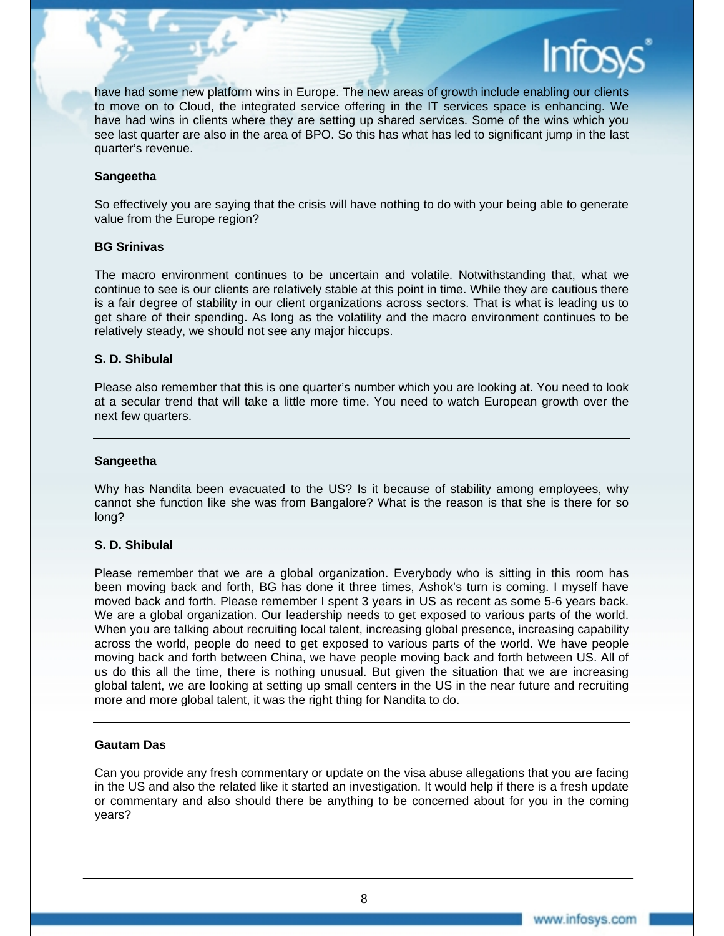

have had some new platform wins in Europe. The new areas of growth include enabling our clients to move on to Cloud, the integrated service offering in the IT services space is enhancing. We have had wins in clients where they are setting up shared services. Some of the wins which you see last quarter are also in the area of BPO. So this has what has led to significant jump in the last quarter's revenue.

#### **Sangeetha**

So effectively you are saying that the crisis will have nothing to do with your being able to generate value from the Europe region?

#### **BG Srinivas**

The macro environment continues to be uncertain and volatile. Notwithstanding that, what we continue to see is our clients are relatively stable at this point in time. While they are cautious there is a fair degree of stability in our client organizations across sectors. That is what is leading us to get share of their spending. As long as the volatility and the macro environment continues to be relatively steady, we should not see any major hiccups.

#### **S. D. Shibulal**

Please also remember that this is one quarter's number which you are looking at. You need to look at a secular trend that will take a little more time. You need to watch European growth over the next few quarters.

#### **Sangeetha**

Why has Nandita been evacuated to the US? Is it because of stability among employees, why cannot she function like she was from Bangalore? What is the reason is that she is there for so long?

#### **S. D. Shibulal**

Please remember that we are a global organization. Everybody who is sitting in this room has been moving back and forth, BG has done it three times, Ashok's turn is coming. I myself have moved back and forth. Please remember I spent 3 years in US as recent as some 5-6 years back. We are a global organization. Our leadership needs to get exposed to various parts of the world. When you are talking about recruiting local talent, increasing global presence, increasing capability across the world, people do need to get exposed to various parts of the world. We have people moving back and forth between China, we have people moving back and forth between US. All of us do this all the time, there is nothing unusual. But given the situation that we are increasing global talent, we are looking at setting up small centers in the US in the near future and recruiting more and more global talent, it was the right thing for Nandita to do.

#### **Gautam Das**

Can you provide any fresh commentary or update on the visa abuse allegations that you are facing in the US and also the related like it started an investigation. It would help if there is a fresh update or commentary and also should there be anything to be concerned about for you in the coming years?

8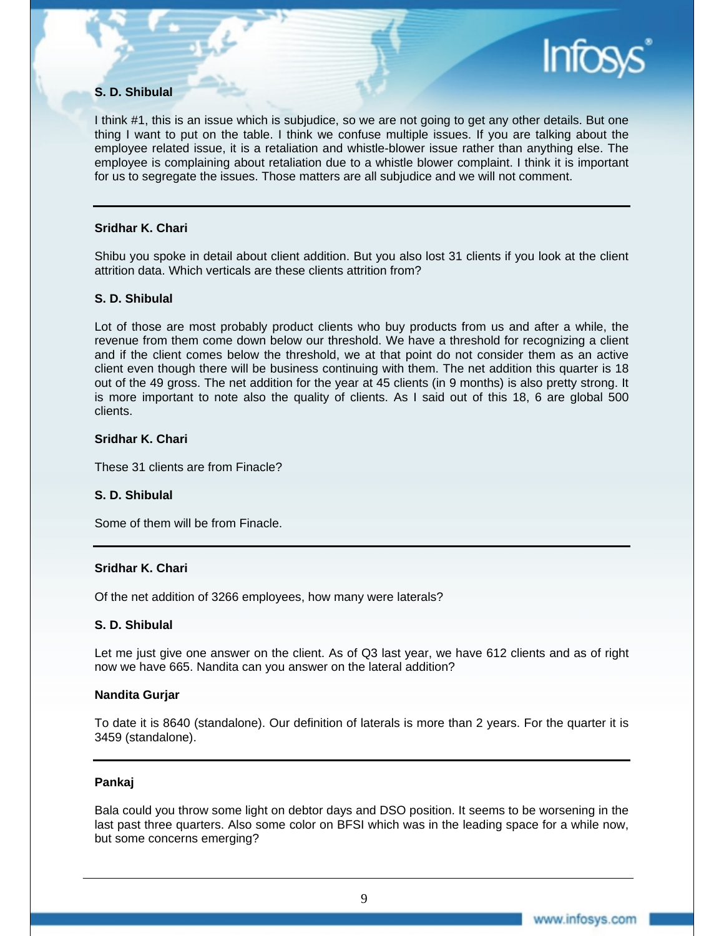#### **S. D. Shibulal**

I think #1, this is an issue which is subjudice, so we are not going to get any other details. But one thing I want to put on the table. I think we confuse multiple issues. If you are talking about the employee related issue, it is a retaliation and whistle-blower issue rather than anything else. The employee is complaining about retaliation due to a whistle blower complaint. I think it is important for us to segregate the issues. Those matters are all subjudice and we will not comment.

#### **Sridhar K. Chari**

Shibu you spoke in detail about client addition. But you also lost 31 clients if you look at the client attrition data. Which verticals are these clients attrition from?

#### **S. D. Shibulal**

Lot of those are most probably product clients who buy products from us and after a while, the revenue from them come down below our threshold. We have a threshold for recognizing a client and if the client comes below the threshold, we at that point do not consider them as an active client even though there will be business continuing with them. The net addition this quarter is 18 out of the 49 gross. The net addition for the year at 45 clients (in 9 months) is also pretty strong. It is more important to note also the quality of clients. As I said out of this 18, 6 are global 500 clients.

#### **Sridhar K. Chari**

These 31 clients are from Finacle?

#### **S. D. Shibulal**

Some of them will be from Finacle.

#### **Sridhar K. Chari**

Of the net addition of 3266 employees, how many were laterals?

#### **S. D. Shibulal**

Let me just give one answer on the client. As of Q3 last year, we have 612 clients and as of right now we have 665. Nandita can you answer on the lateral addition?

#### **Nandita Gurjar**

To date it is 8640 (standalone). Our definition of laterals is more than 2 years. For the quarter it is 3459 (standalone).

#### **Pankaj**

Bala could you throw some light on debtor days and DSO position. It seems to be worsening in the last past three quarters. Also some color on BFSI which was in the leading space for a while now, but some concerns emerging?

**Infos**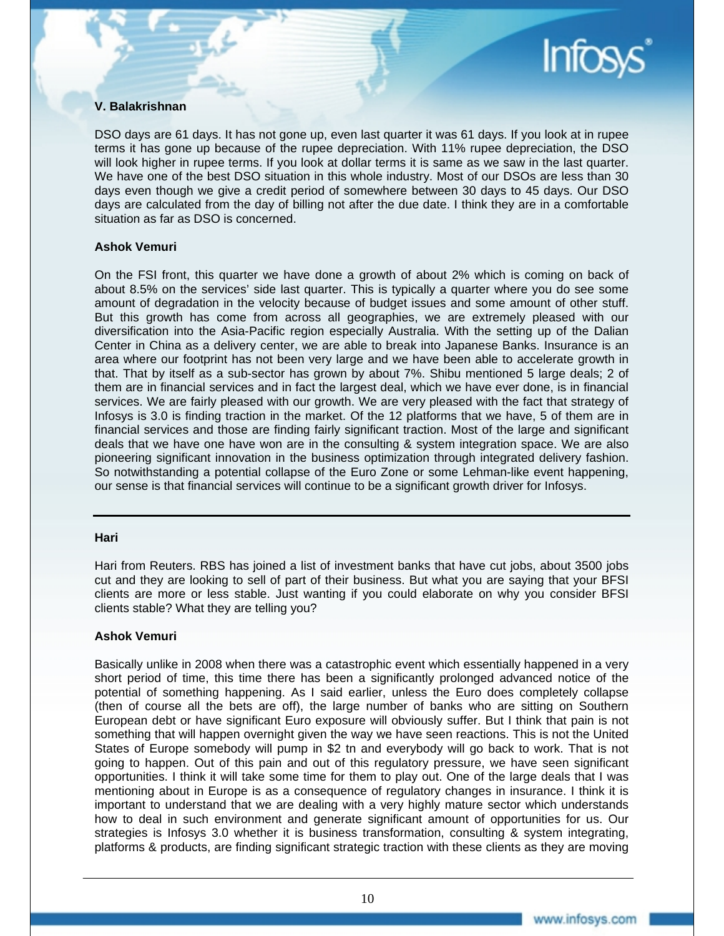

#### **V. Balakrishnan**

DSO days are 61 days. It has not gone up, even last quarter it was 61 days. If you look at in rupee terms it has gone up because of the rupee depreciation. With 11% rupee depreciation, the DSO will look higher in rupee terms. If you look at dollar terms it is same as we saw in the last quarter. We have one of the best DSO situation in this whole industry. Most of our DSOs are less than 30 days even though we give a credit period of somewhere between 30 days to 45 days. Our DSO days are calculated from the day of billing not after the due date. I think they are in a comfortable situation as far as DSO is concerned.

#### **Ashok Vemuri**

On the FSI front, this quarter we have done a growth of about 2% which is coming on back of about 8.5% on the services' side last quarter. This is typically a quarter where you do see some amount of degradation in the velocity because of budget issues and some amount of other stuff. But this growth has come from across all geographies, we are extremely pleased with our diversification into the Asia-Pacific region especially Australia. With the setting up of the Dalian Center in China as a delivery center, we are able to break into Japanese Banks. Insurance is an area where our footprint has not been very large and we have been able to accelerate growth in that. That by itself as a sub-sector has grown by about 7%. Shibu mentioned 5 large deals; 2 of them are in financial services and in fact the largest deal, which we have ever done, is in financial services. We are fairly pleased with our growth. We are very pleased with the fact that strategy of Infosys is 3.0 is finding traction in the market. Of the 12 platforms that we have, 5 of them are in financial services and those are finding fairly significant traction. Most of the large and significant deals that we have one have won are in the consulting & system integration space. We are also pioneering significant innovation in the business optimization through integrated delivery fashion. So notwithstanding a potential collapse of the Euro Zone or some Lehman-like event happening, our sense is that financial services will continue to be a significant growth driver for Infosys.

#### **Hari**

Hari from Reuters. RBS has joined a list of investment banks that have cut jobs, about 3500 jobs cut and they are looking to sell of part of their business. But what you are saying that your BFSI clients are more or less stable. Just wanting if you could elaborate on why you consider BFSI clients stable? What they are telling you?

#### **Ashok Vemuri**

Basically unlike in 2008 when there was a catastrophic event which essentially happened in a very short period of time, this time there has been a significantly prolonged advanced notice of the potential of something happening. As I said earlier, unless the Euro does completely collapse (then of course all the bets are off), the large number of banks who are sitting on Southern European debt or have significant Euro exposure will obviously suffer. But I think that pain is not something that will happen overnight given the way we have seen reactions. This is not the United States of Europe somebody will pump in \$2 tn and everybody will go back to work. That is not going to happen. Out of this pain and out of this regulatory pressure, we have seen significant opportunities. I think it will take some time for them to play out. One of the large deals that I was mentioning about in Europe is as a consequence of regulatory changes in insurance. I think it is important to understand that we are dealing with a very highly mature sector which understands how to deal in such environment and generate significant amount of opportunities for us. Our strategies is Infosys 3.0 whether it is business transformation, consulting & system integrating, platforms & products, are finding significant strategic traction with these clients as they are moving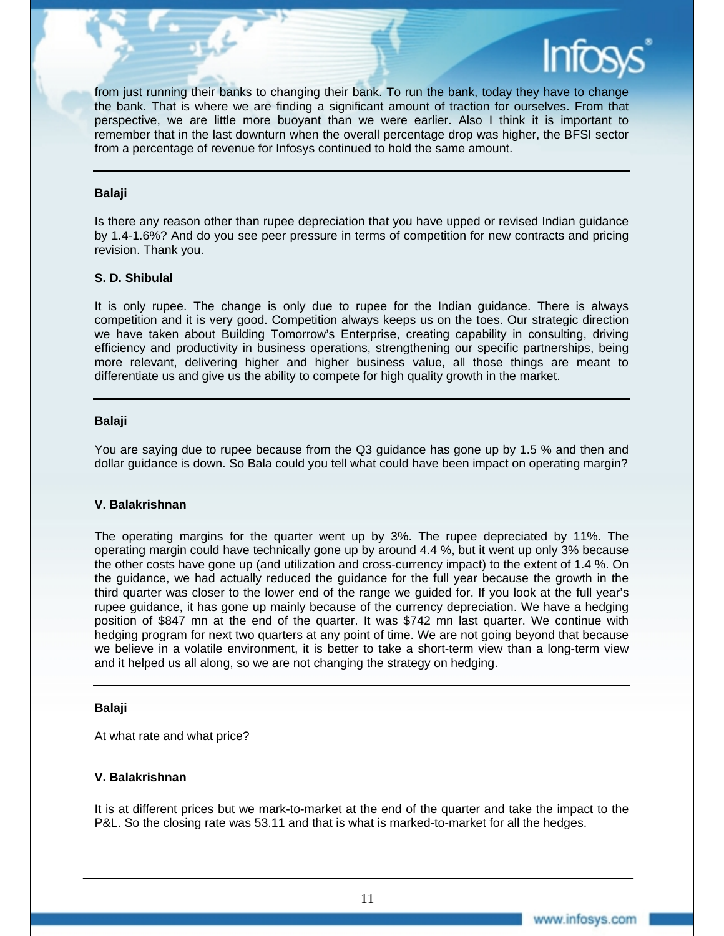

#### **Balaji**

Is there any reason other than rupee depreciation that you have upped or revised Indian guidance by 1.4-1.6%? And do you see peer pressure in terms of competition for new contracts and pricing revision. Thank you.

#### **S. D. Shibulal**

It is only rupee. The change is only due to rupee for the Indian guidance. There is always competition and it is very good. Competition always keeps us on the toes. Our strategic direction we have taken about Building Tomorrow's Enterprise, creating capability in consulting, driving efficiency and productivity in business operations, strengthening our specific partnerships, being more relevant, delivering higher and higher business value, all those things are meant to differentiate us and give us the ability to compete for high quality growth in the market.

#### **Balaji**

You are saying due to rupee because from the Q3 guidance has gone up by 1.5 % and then and dollar guidance is down. So Bala could you tell what could have been impact on operating margin?

#### **V. Balakrishnan**

The operating margins for the quarter went up by 3%. The rupee depreciated by 11%. The operating margin could have technically gone up by around 4.4 %, but it went up only 3% because the other costs have gone up (and utilization and cross-currency impact) to the extent of 1.4 %. On the guidance, we had actually reduced the guidance for the full year because the growth in the third quarter was closer to the lower end of the range we guided for. If you look at the full year's rupee guidance, it has gone up mainly because of the currency depreciation. We have a hedging position of \$847 mn at the end of the quarter. It was \$742 mn last quarter. We continue with hedging program for next two quarters at any point of time. We are not going beyond that because we believe in a volatile environment, it is better to take a short-term view than a long-term view and it helped us all along, so we are not changing the strategy on hedging.

#### **Balaji**

At what rate and what price?

#### **V. Balakrishnan**

It is at different prices but we mark-to-market at the end of the quarter and take the impact to the P&L. So the closing rate was 53.11 and that is what is marked-to-market for all the hedges.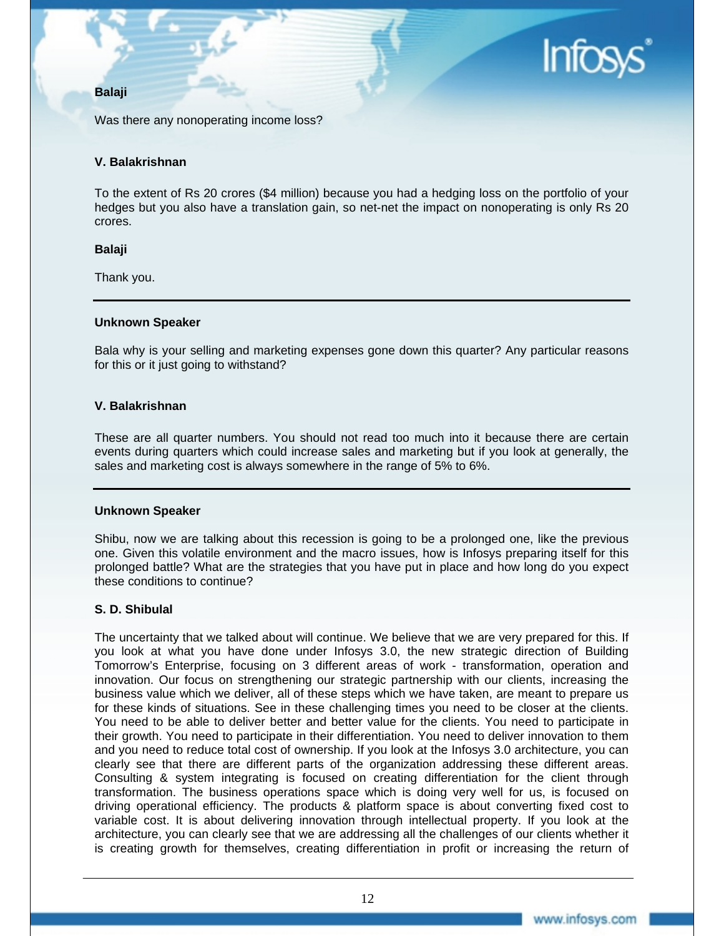# **Infos**

# **Balaji**

Was there any nonoperating income loss?

## **V. Balakrishnan**

To the extent of Rs 20 crores (\$4 million) because you had a hedging loss on the portfolio of your hedges but you also have a translation gain, so net-net the impact on nonoperating is only Rs 20 crores.

#### **Balaji**

Thank you.

#### **Unknown Speaker**

Bala why is your selling and marketing expenses gone down this quarter? Any particular reasons for this or it just going to withstand?

#### **V. Balakrishnan**

These are all quarter numbers. You should not read too much into it because there are certain events during quarters which could increase sales and marketing but if you look at generally, the sales and marketing cost is always somewhere in the range of 5% to 6%.

#### **Unknown Speaker**

Shibu, now we are talking about this recession is going to be a prolonged one, like the previous one. Given this volatile environment and the macro issues, how is Infosys preparing itself for this prolonged battle? What are the strategies that you have put in place and how long do you expect these conditions to continue?

# **S. D. Shibulal**

The uncertainty that we talked about will continue. We believe that we are very prepared for this. If you look at what you have done under Infosys 3.0, the new strategic direction of Building Tomorrow's Enterprise, focusing on 3 different areas of work - transformation, operation and innovation. Our focus on strengthening our strategic partnership with our clients, increasing the business value which we deliver, all of these steps which we have taken, are meant to prepare us for these kinds of situations. See in these challenging times you need to be closer at the clients. You need to be able to deliver better and better value for the clients. You need to participate in their growth. You need to participate in their differentiation. You need to deliver innovation to them and you need to reduce total cost of ownership. If you look at the Infosys 3.0 architecture, you can clearly see that there are different parts of the organization addressing these different areas. Consulting & system integrating is focused on creating differentiation for the client through transformation. The business operations space which is doing very well for us, is focused on driving operational efficiency. The products & platform space is about converting fixed cost to variable cost. It is about delivering innovation through intellectual property. If you look at the architecture, you can clearly see that we are addressing all the challenges of our clients whether it is creating growth for themselves, creating differentiation in profit or increasing the return of